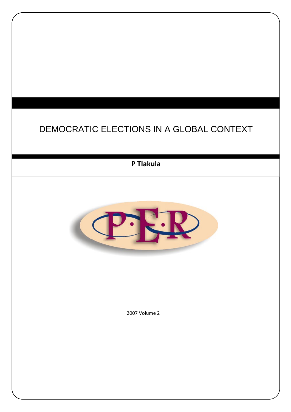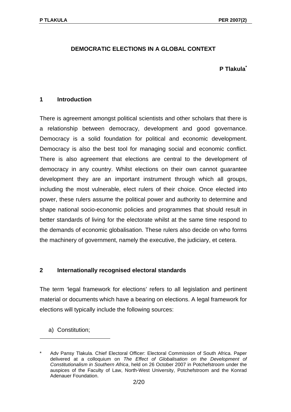## **DEMOCRATIC ELECTIONS IN A GLOBAL CONTEXT**

## **P Tlakula\***

#### **1 Introduction**

There is agreement amongst political scientists and other scholars that there is a relationship between democracy, development and good governance. Democracy is a solid foundation for political and economic development. Democracy is also the best tool for managing social and economic conflict. There is also agreement that elections are central to the development of democracy in any country. Whilst elections on their own cannot guarantee development they are an important instrument through which all groups, including the most vulnerable, elect rulers of their choice. Once elected into power, these rulers assume the political power and authority to determine and shape national socio-economic policies and programmes that should result in better standards of living for the electorate whilst at the same time respond to the demands of economic globalisation. These rulers also decide on who forms the machinery of government, namely the executive, the judiciary, et cetera.

#### **2 Internationally recognised electoral standards**

The term 'legal framework for elections' refers to all legislation and pertinent material or documents which have a bearing on elections. A legal framework for elections will typically include the following sources:

a) Constitution;

Adv Pansy Tlakula. Chief Electoral Officer: Electoral Commission of South Africa. Paper delivered at a colloquium on *The Effect of Globalisation on the Development of Constitutionalism in Southern Africa*, held on 26 October 2007 in Potchefstroom under the auspices of the Faculty of Law, North-West University, Potchefstroom and the Konrad Adenauer Foundation.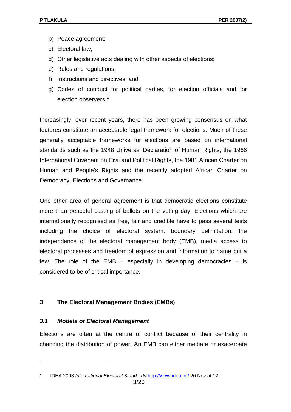- b) Peace agreement;
- c) Electoral law;
- d) Other legislative acts dealing with other aspects of elections;
- e) Rules and regulations;
- f) Instructions and directives; and
- g) Codes of conduct for political parties, for election officials and for election observers.<sup>1</sup>

Increasingly, over recent years, there has been growing consensus on what features constitute an acceptable legal framework for elections. Much of these generally acceptable frameworks for elections are based on international standards such as the 1948 Universal Declaration of Human Rights, the 1966 International Covenant on Civil and Political Rights, the 1981 African Charter on Human and People's Rights and the recently adopted African Charter on Democracy, Elections and Governance.

One other area of general agreement is that democratic elections constitute more than peaceful casting of ballots on the voting day. Elections which are internationally recognised as free, fair and credible have to pass several tests including the choice of electoral system, boundary delimitation, the independence of the electoral management body (EMB), media access to electoral processes and freedom of expression and information to name but a few. The role of the EMB – especially in developing democracies – is considered to be of critical importance.

# **3 The Electoral Management Bodies (EMBs)**

# *3.1 Models of Electoral Management*

Elections are often at the centre of conflict because of their centrality in changing the distribution of power. An EMB can either mediate or exacerbate

<sup>1</sup> IDEA 2003 *International Electoral Standards* [http://www.idea.int/](http://www.idea.int/publications/ies/index.cfm) 20 Nov at 12.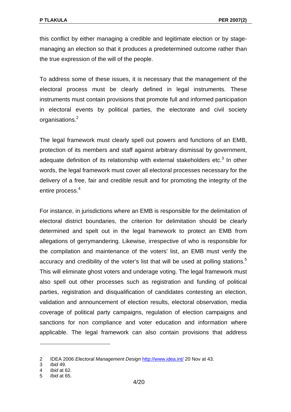this conflict by either managing a credible and legitimate election or by stagemanaging an election so that it produces a predetermined outcome rather than the true expression of the will of the people.

To address some of these issues, it is necessary that the management of the electoral process must be clearly defined in legal instruments. These instruments must contain provisions that promote full and informed participation in electoral events by political parties, the electorate and civil society organisations.<sup>2</sup>

The legal framework must clearly spell out powers and functions of an EMB, protection of its members and staff against arbitrary dismissal by government, adequate definition of its relationship with external stakeholders etc. $3$  In other words, the legal framework must cover all electoral processes necessary for the delivery of a free, fair and credible result and for promoting the integrity of the entire process.<sup>4</sup>

For instance, in jurisdictions where an EMB is responsible for the delimitation of electoral district boundaries, the criterion for delimitation should be clearly determined and spelt out in the legal framework to protect an EMB from allegations of gerrymandering. Likewise, irrespective of who is responsible for the compilation and maintenance of the voters' list, an EMB must verify the accuracy and credibility of the voter's list that will be used at polling stations.<sup>5</sup> This will eliminate ghost voters and underage voting. The legal framework must also spell out other processes such as registration and funding of political parties, registration and disqualification of candidates contesting an election, validation and announcement of election results, electoral observation, media coverage of political party campaigns, regulation of election campaigns and sanctions for non compliance and voter education and information where applicable. The legal framework can also contain provisions that address

<sup>2</sup> IDEA 2006 *Electoral Management Design* [http://www.idea.int/](http://www.idea.int/publications/emd/index.cfm) 20 Nov at 43.

<sup>3</sup> *Ibid* 49.

<sup>4</sup> *Ibid* at 62.

<sup>5</sup> *Ibid* at 65.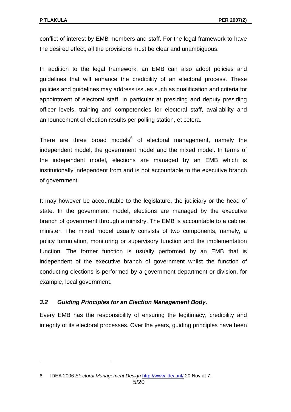conflict of interest by EMB members and staff. For the legal framework to have the desired effect, all the provisions must be clear and unambiguous.

In addition to the legal framework, an EMB can also adopt policies and guidelines that will enhance the credibility of an electoral process. These policies and guidelines may address issues such as qualification and criteria for appointment of electoral staff, in particular at presiding and deputy presiding officer levels, training and competencies for electoral staff, availability and announcement of election results per polling station, et cetera.

There are three broad models $6$  of electoral management, namely the independent model, the government model and the mixed model. In terms of the independent model, elections are managed by an EMB which is institutionally independent from and is not accountable to the executive branch of government.

It may however be accountable to the legislature, the judiciary or the head of state. In the government model, elections are managed by the executive branch of government through a ministry. The EMB is accountable to a cabinet minister. The mixed model usually consists of two components, namely, a policy formulation, monitoring or supervisory function and the implementation function. The former function is usually performed by an EMB that is independent of the executive branch of government whilst the function of conducting elections is performed by a government department or division, for example, local government.

## *3.2 Guiding Principles for an Election Management Body.*

Every EMB has the responsibility of ensuring the legitimacy, credibility and integrity of its electoral processes. Over the years, guiding principles have been

<sup>6</sup> IDEA 2006 *Electoral Management Design* [http://www.idea.int/](http://www.idea.int/publications/emd/index.cfm) 20 Nov at 7.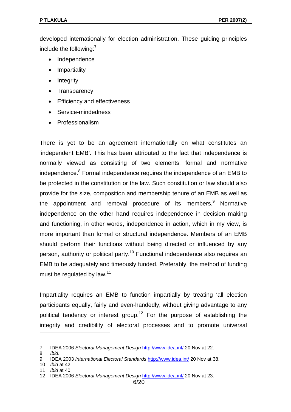developed internationally for election administration. These guiding principles include the following: $<sup>7</sup>$ </sup>

- Independence
- **Impartiality**
- Integrity
- **Transparency**
- **Efficiency and effectiveness**
- Service-mindedness
- Professionalism

There is yet to be an agreement internationally on what constitutes an 'independent EMB'. This has been attributed to the fact that independence is normally viewed as consisting of two elements, formal and normative independence.<sup>8</sup> Formal independence requires the independence of an EMB to be protected in the constitution or the law. Such constitution or law should also provide for the size, composition and membership tenure of an EMB as well as the appointment and removal procedure of its members.<sup>9</sup> Normative independence on the other hand requires independence in decision making and functioning, in other words, independence in action, which in my view, is more important than formal or structural independence. Members of an EMB should perform their functions without being directed or influenced by any person, authority or political party.<sup>10</sup> Functional independence also requires an EMB to be adequately and timeously funded. Preferably, the method of funding must be regulated by law. $11$ 

Impartiality requires an EMB to function impartially by treating 'all election participants equally, fairly and even-handedly, without giving advantage to any political tendency or interest group.<sup>12</sup> For the purpose of establishing the integrity and credibility of electoral processes and to promote universal

<sup>7</sup> IDEA 2006 *Electoral Management Design* [http://www.idea.int/](http://www.idea.int/publications/emd/index.cfm) 20 Nov at 22.

<sup>8</sup> *Ibid*.

<sup>9</sup> IDEA 2003 *International Electoral Standards* [http://www.idea.int/](http://www.idea.int/publications/ies/index.cfm) 20 Nov at 38.

<sup>10</sup> *Ibid* at 42.

<sup>11</sup> *Ibid* at 40.

<sup>12</sup> IDEA 2006 *Electoral Management Design* [http://www.idea.int/](http://www.idea.int/publications/emd/index.cfm) 20 Nov at 23.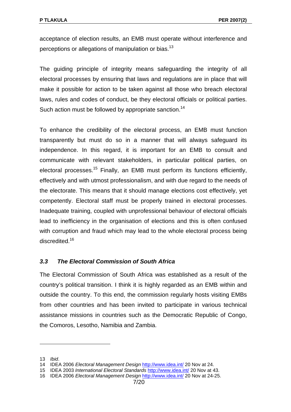acceptance of election results, an EMB must operate without interference and perceptions or allegations of manipulation or bias.<sup>13</sup>

The guiding principle of integrity means safeguarding the integrity of all electoral processes by ensuring that laws and regulations are in place that will make it possible for action to be taken against all those who breach electoral laws, rules and codes of conduct, be they electoral officials or political parties. Such action must be followed by appropriate sanction.<sup>14</sup>

To enhance the credibility of the electoral process, an EMB must function transparently but must do so in a manner that will always safeguard its independence. In this regard, it is important for an EMB to consult and communicate with relevant stakeholders, in particular political parties, on electoral processes.<sup>15</sup> Finally, an EMB must perform its functions efficiently, effectively and with utmost professionalism, and with due regard to the needs of the electorate. This means that it should manage elections cost effectively, yet competently. Electoral staff must be properly trained in electoral processes. Inadequate training, coupled with unprofessional behaviour of electoral officials lead to inefficiency in the organisation of elections and this is often confused with corruption and fraud which may lead to the whole electoral process being discredited.16

## *3.3 The Electoral Commission of South Africa*

The Electoral Commission of South Africa was established as a result of the country's political transition. I think it is highly regarded as an EMB within and outside the country. To this end, the commission regularly hosts visiting EMBs from other countries and has been invited to participate in various technical assistance missions in countries such as the Democratic Republic of Congo, the Comoros, Lesotho, Namibia and Zambia.

<sup>13</sup> *Ibid*.

<sup>14</sup> IDEA 2006 *Electoral Management Design* [http://www.idea.int/](http://www.idea.int/publications/emd/index.cfm) 20 Nov at 24.

<sup>15</sup> IDEA 2003 *International Electoral Standards* [http://www.idea.int/](http://www.idea.int/publications/ies/index.cfm) 20 Nov at 43.

<sup>16</sup> IDEA 2006 *Electoral Management Design* [http://www.idea.int/](http://www.idea.int/publications/emd/index.cfm) 20 Nov at 24-25.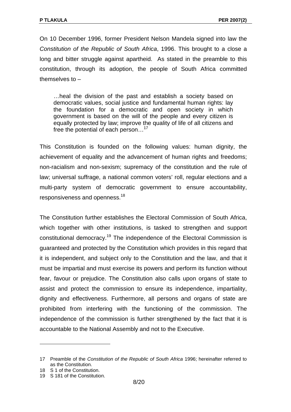On 10 December 1996, former President Nelson Mandela signed into law the *Constitution of the Republic of South Africa*, 1996. This brought to a close a long and bitter struggle against apartheid. As stated in the preamble to this constitution, through its adoption, the people of South Africa committed themselves to –

…heal the division of the past and establish a society based on democratic values, social justice and fundamental human rights: lay the foundation for a democratic and open society in which government is based on the will of the people and every citizen is equally protected by law; improve the quality of life of all citizens and free the potential of each person...<sup>17</sup>

This Constitution is founded on the following values: human dignity, the achievement of equality and the advancement of human rights and freedoms; non-racialism and non-sexism; supremacy of the constitution and the rule of law; universal suffrage, a national common voters' roll, regular elections and a multi-party system of democratic government to ensure accountability, responsiveness and openness.<sup>18</sup>

The Constitution further establishes the Electoral Commission of South Africa, which together with other institutions, is tasked to strengthen and support constitutional democracy.<sup>19</sup> The independence of the Electoral Commission is guaranteed and protected by the Constitution which provides in this regard that it is independent, and subject only to the Constitution and the law, and that it must be impartial and must exercise its powers and perform its function without fear, favour or prejudice. The Constitution also calls upon organs of state to assist and protect the commission to ensure its independence, impartiality, dignity and effectiveness. Furthermore, all persons and organs of state are prohibited from interfering with the functioning of the commission. The independence of the commission is further strengthened by the fact that it is accountable to the National Assembly and not to the Executive.

<sup>17</sup> Preamble of the *Constitution of the Republic of South Africa* 1996; hereinafter referred to as the Constitution.

<sup>18</sup> S 1 of the Constitution.

<sup>19</sup> S 181 of the Constitution.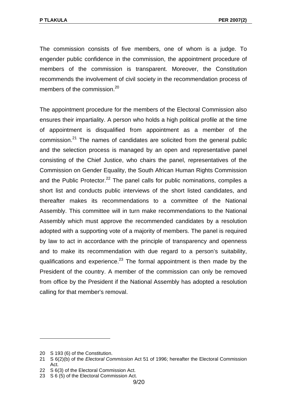The commission consists of five members, one of whom is a judge. To engender public confidence in the commission, the appointment procedure of members of the commission is transparent. Moreover, the Constitution recommends the involvement of civil society in the recommendation process of members of the commission.<sup>20</sup>

The appointment procedure for the members of the Electoral Commission also ensures their impartiality. A person who holds a high political profile at the time of appointment is disqualified from appointment as a member of the commission. $21$  The names of candidates are solicited from the general public and the selection process is managed by an open and representative panel consisting of the Chief Justice, who chairs the panel, representatives of the Commission on Gender Equality, the South African Human Rights Commission and the Public Protector.<sup>22</sup> The panel calls for public nominations, compiles a short list and conducts public interviews of the short listed candidates, and thereafter makes its recommendations to a committee of the National Assembly. This committee will in turn make recommendations to the National Assembly which must approve the recommended candidates by a resolution adopted with a supporting vote of a majority of members. The panel is required by law to act in accordance with the principle of transparency and openness and to make its recommendation with due regard to a person's suitability, qualifications and experience.<sup>23</sup> The formal appointment is then made by the President of the country. A member of the commission can only be removed from office by the President if the National Assembly has adopted a resolution calling for that member's removal.

<sup>20</sup> S 193 (6) of the Constitution.

<sup>21</sup> S 6(2)(b) of the *Electoral Commission* Act 51 of 1996; hereafter the Electoral Commission Act.

<sup>22</sup> S 6(3) of the Electoral Commission Act.

<sup>23</sup> S 6 (5) of the Electoral Commission Act.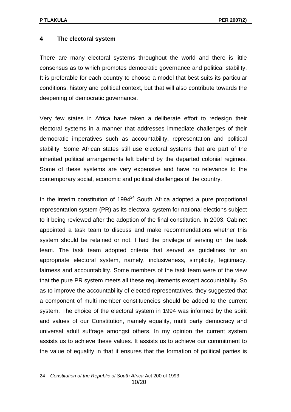#### **4 The electoral system**

There are many electoral systems throughout the world and there is little consensus as to which promotes democratic governance and political stability. It is preferable for each country to choose a model that best suits its particular conditions, history and political context, but that will also contribute towards the deepening of democratic governance.

Very few states in Africa have taken a deliberate effort to redesign their electoral systems in a manner that addresses immediate challenges of their democratic imperatives such as accountability, representation and political stability. Some African states still use electoral systems that are part of the inherited political arrangements left behind by the departed colonial regimes. Some of these systems are very expensive and have no relevance to the contemporary social, economic and political challenges of the country.

In the interim constitution of  $1994<sup>24</sup>$  South Africa adopted a pure proportional representation system (PR) as its electoral system for national elections subject to it being reviewed after the adoption of the final constitution. In 2003, Cabinet appointed a task team to discuss and make recommendations whether this system should be retained or not. I had the privilege of serving on the task team. The task team adopted criteria that served as guidelines for an appropriate electoral system, namely, inclusiveness, simplicity, legitimacy, fairness and accountability. Some members of the task team were of the view that the pure PR system meets all these requirements except accountability. So as to improve the accountability of elected representatives, they suggested that a component of multi member constituencies should be added to the current system. The choice of the electoral system in 1994 was informed by the spirit and values of our Constitution, namely equality, multi party democracy and universal adult suffrage amongst others. In my opinion the current system assists us to achieve these values. It assists us to achieve our commitment to the value of equality in that it ensures that the formation of political parties is

<sup>24</sup> *Constitution of the Republic of South Africa* Act 200 of 1993.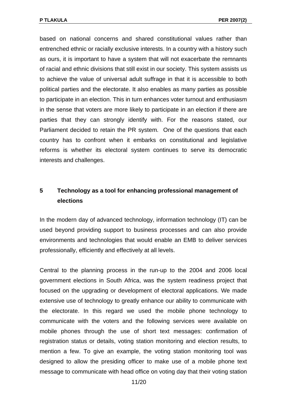based on national concerns and shared constitutional values rather than entrenched ethnic or racially exclusive interests. In a country with a history such as ours, it is important to have a system that will not exacerbate the remnants of racial and ethnic divisions that still exist in our society. This system assists us to achieve the value of universal adult suffrage in that it is accessible to both political parties and the electorate. It also enables as many parties as possible to participate in an election. This in turn enhances voter turnout and enthusiasm in the sense that voters are more likely to participate in an election if there are parties that they can strongly identify with. For the reasons stated, our Parliament decided to retain the PR system. One of the questions that each country has to confront when it embarks on constitutional and legislative reforms is whether its electoral system continues to serve its democratic interests and challenges.

# **5 Technology as a tool for enhancing professional management of elections**

In the modern day of advanced technology, information technology (IT) can be used beyond providing support to business processes and can also provide environments and technologies that would enable an EMB to deliver services professionally, efficiently and effectively at all levels.

Central to the planning process in the run-up to the 2004 and 2006 local government elections in South Africa, was the system readiness project that focused on the upgrading or development of electoral applications. We made extensive use of technology to greatly enhance our ability to communicate with the electorate. In this regard we used the mobile phone technology to communicate with the voters and the following services were available on mobile phones through the use of short text messages: confirmation of registration status or details, voting station monitoring and election results, to mention a few. To give an example, the voting station monitoring tool was designed to allow the presiding officer to make use of a mobile phone text message to communicate with head office on voting day that their voting station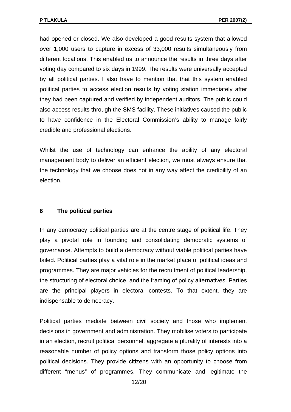had opened or closed. We also developed a good results system that allowed over 1,000 users to capture in excess of 33,000 results simultaneously from different locations. This enabled us to announce the results in three days after voting day compared to six days in 1999. The results were universally accepted by all political parties. I also have to mention that that this system enabled political parties to access election results by voting station immediately after they had been captured and verified by independent auditors. The public could also access results through the SMS facility. These initiatives caused the public to have confidence in the Electoral Commission's ability to manage fairly credible and professional elections.

Whilst the use of technology can enhance the ability of any electoral management body to deliver an efficient election, we must always ensure that the technology that we choose does not in any way affect the credibility of an election.

#### **6 The political parties**

In any democracy political parties are at the centre stage of political life. They play a pivotal role in founding and consolidating democratic systems of governance. Attempts to build a democracy without viable political parties have failed. Political parties play a vital role in the market place of political ideas and programmes. They are major vehicles for the recruitment of political leadership, the structuring of electoral choice, and the framing of policy alternatives. Parties are the principal players in electoral contests. To that extent, they are indispensable to democracy.

Political parties mediate between civil society and those who implement decisions in government and administration. They mobilise voters to participate in an election, recruit political personnel, aggregate a plurality of interests into a reasonable number of policy options and transform those policy options into political decisions. They provide citizens with an opportunity to choose from different "menus" of programmes. They communicate and legitimate the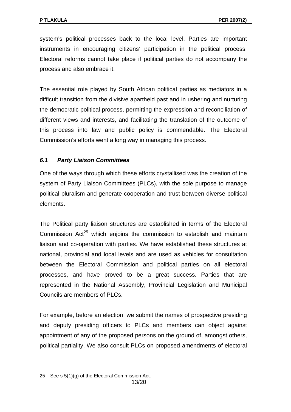system's political processes back to the local level. Parties are important instruments in encouraging citizens' participation in the political process. Electoral reforms cannot take place if political parties do not accompany the process and also embrace it.

The essential role played by South African political parties as mediators in a difficult transition from the divisive apartheid past and in ushering and nurturing the democratic political process, permitting the expression and reconciliation of different views and interests, and facilitating the translation of the outcome of this process into law and public policy is commendable. The Electoral Commission's efforts went a long way in managing this process.

#### *6.1 Party Liaison Committees*

One of the ways through which these efforts crystallised was the creation of the system of Party Liaison Committees (PLCs), with the sole purpose to manage political pluralism and generate cooperation and trust between diverse political elements.

The Political party liaison structures are established in terms of the Electoral Commission Act<sup>25</sup> which enjoins the commission to establish and maintain liaison and co-operation with parties. We have established these structures at national, provincial and local levels and are used as vehicles for consultation between the Electoral Commission and political parties on all electoral processes, and have proved to be a great success. Parties that are represented in the National Assembly, Provincial Legislation and Municipal Councils are members of PLCs.

For example, before an election, we submit the names of prospective presiding and deputy presiding officers to PLCs and members can object against appointment of any of the proposed persons on the ground of, amongst others, political partiality. We also consult PLCs on proposed amendments of electoral

<sup>25</sup> See s 5(1)(g) of the Electoral Commission Act.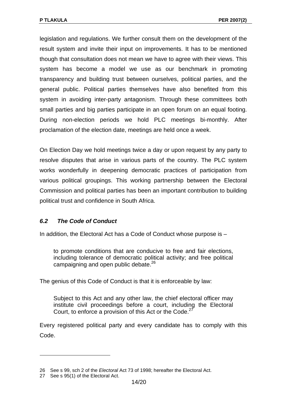legislation and regulations. We further consult them on the development of the result system and invite their input on improvements. It has to be mentioned though that consultation does not mean we have to agree with their views. This system has become a model we use as our benchmark in promoting transparency and building trust between ourselves, political parties, and the general public. Political parties themselves have also benefited from this system in avoiding inter-party antagonism. Through these committees both small parties and big parties participate in an open forum on an equal footing. During non-election periods we hold PLC meetings bi-monthly. After proclamation of the election date, meetings are held once a week.

On Election Day we hold meetings twice a day or upon request by any party to resolve disputes that arise in various parts of the country. The PLC system works wonderfully in deepening democratic practices of participation from various political groupings. This working partnership between the Electoral Commission and political parties has been an important contribution to building political trust and confidence in South Africa.

#### *6.2 The Code of Conduct*

In addition, the Electoral Act has a Code of Conduct whose purpose is –

to promote conditions that are conducive to free and fair elections, including tolerance of democratic political activity; and free political campaigning and open public debate.<sup>26</sup>

The genius of this Code of Conduct is that it is enforceable by law:

Subject to this Act and any other law, the chief electoral officer may institute civil proceedings before a court, including the Electoral Court, to enforce a provision of this Act or the Code.<sup>27</sup>

Every registered political party and every candidate has to comply with this Code.

<sup>26</sup> See s 99, sch 2 of the *Electoral* Act 73 of 1998; hereafter the Electoral Act.

<sup>27</sup> See s 95(1) of the Electoral Act.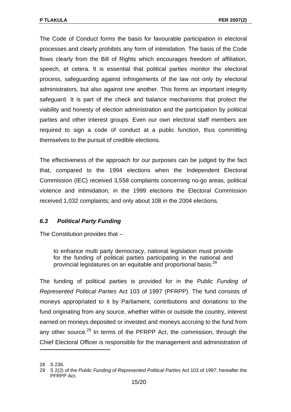The Code of Conduct forms the basis for favourable participation in electoral processes and clearly prohibits any form of intimidation. The basis of the Code flows clearly from the Bill of Rights which encourages freedom of affiliation, speech, et cetera. It is essential that political parties monitor the electoral process, safeguarding against infringements of the law not only by electoral administrators, but also against one another. This forms an important integrity safeguard. It is part of the check and balance mechanisms that protect the viability and honesty of election administration and the participation by political parties and other interest groups. Even our own electoral staff members are required to sign a code of conduct at a public function, thus committing themselves to the pursuit of credible elections.

The effectiveness of the approach for our purposes can be judged by the fact that, compared to the 1994 elections when the Independent Electoral Commission (IEC) received 3,558 complaints concerning no-go areas, political violence and intimidation; in the 1999 elections the Electoral Commission received 1,032 complaints; and only about 108 in the 2004 elections.

#### *6.3 Political Party Funding*

The Constitution provides that –

to enhance multi party democracy, national legislation must provide for the funding of political parties participating in the national and provincial legislatures on an equitable and proportional basis.28

The funding of political parties is provided for in the *Public Funding of Represented Political Parties* Act 103 of 1997 (PFRPP). The fund consists of moneys appropriated to it by Parliament, contributions and donations to the fund originating from any source, whether within or outside the country, interest earned on moneys deposited or invested and moneys accruing to the fund from any other source.<sup>29</sup> In terms of the PFRPP Act, the commission, through the Chief Electoral Officer is responsible for the management and administration of

<sup>28</sup> S 236.

<sup>29</sup> S 2(2) of the *Public Funding of Represented Political Parties* Act 103 of 1997; hereafter the PFRPP Act.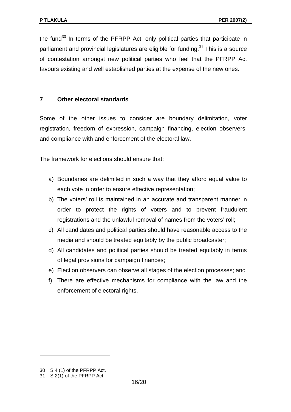the fund $30$  In terms of the PFRPP Act, only political parties that participate in parliament and provincial legislatures are eligible for funding.<sup>31</sup> This is a source of contestation amongst new political parties who feel that the PFRPP Act favours existing and well established parties at the expense of the new ones.

### **7 Other electoral standards**

Some of the other issues to consider are boundary delimitation, voter registration, freedom of expression, campaign financing, election observers, and compliance with and enforcement of the electoral law.

The framework for elections should ensure that:

- a) Boundaries are delimited in such a way that they afford equal value to each vote in order to ensure effective representation;
- b) The voters' roll is maintained in an accurate and transparent manner in order to protect the rights of voters and to prevent fraudulent registrations and the unlawful removal of names from the voters' roll;
- c) All candidates and political parties should have reasonable access to the media and should be treated equitably by the public broadcaster;
- d) All candidates and political parties should be treated equitably in terms of legal provisions for campaign finances;
- e) Election observers can observe all stages of the election processes; and
- f) There are effective mechanisms for compliance with the law and the enforcement of electoral rights.

<sup>30</sup> S 4 (1) of the PFRPP Act.

<sup>31</sup> S 2(1) of the PFRPP Act.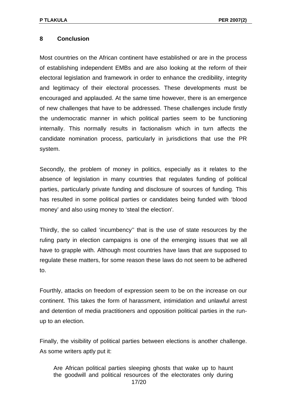#### **8 Conclusion**

Most countries on the African continent have established or are in the process of establishing independent EMBs and are also looking at the reform of their electoral legislation and framework in order to enhance the credibility, integrity and legitimacy of their electoral processes. These developments must be encouraged and applauded. At the same time however, there is an emergence of new challenges that have to be addressed. These challenges include firstly the undemocratic manner in which political parties seem to be functioning internally. This normally results in factionalism which in turn affects the candidate nomination process, particularly in jurisdictions that use the PR system.

Secondly, the problem of money in politics, especially as it relates to the absence of legislation in many countries that regulates funding of political parties, particularly private funding and disclosure of sources of funding. This has resulted in some political parties or candidates being funded with 'blood money' and also using money to 'steal the election'.

Thirdly, the so called 'incumbency'' that is the use of state resources by the ruling party in election campaigns is one of the emerging issues that we all have to grapple with. Although most countries have laws that are supposed to regulate these matters, for some reason these laws do not seem to be adhered to.

Fourthly, attacks on freedom of expression seem to be on the increase on our continent. This takes the form of harassment, intimidation and unlawful arrest and detention of media practitioners and opposition political parties in the runup to an election.

Finally, the visibility of political parties between elections is another challenge. As some writers aptly put it:

17/20 Are African political parties sleeping ghosts that wake up to haunt the goodwill and political resources of the electorates only during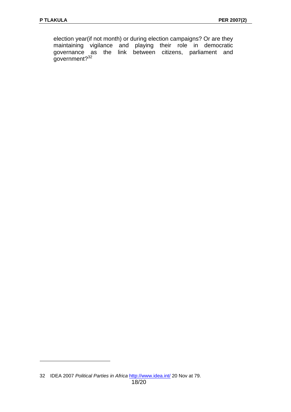election year(if not month) or during election campaigns? Or are they maintaining vigilance and playing their role in democratic governance as the link between citizens, parliament and government?<sup>32</sup>

<sup>32</sup> IDEA 2007 *Political Parties in Africa* [http://www.idea.int/](http://www.idea.int/publications/pp_africa/index.cfm) 20 Nov at 79.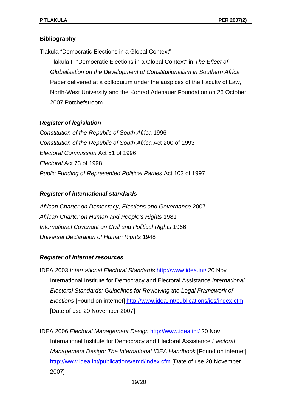## **Bibliography**

Tlakula "Democratic Elections in a Global Context"

Tlakula P "Democratic Elections in a Global Context" in *The Effect of Globalisation on the Development of Constitutionalism in Southern Africa* Paper delivered at a colloquium under the auspices of the Faculty of Law, North-West University and the Konrad Adenauer Foundation on 26 October 2007 Potchefstroom

## *Register of legislation*

*Constitution of the Republic of South Africa* 1996 *Constitution of the Republic of South Africa* Act 200 of 1993 *Electoral Commission* Act 51 of 1996 *Electoral* Act 73 of 1998 *Public Funding of Represented Political Parties* Act 103 of 1997

## *Register of international standards*

*African Charter on Democracy, Elections and Governance* 2007 *African Charter on Human and People's Rights* 1981 *International Covenant on Civil and Political Rights* 1966 *Universal Declaration of Human Rights* 1948

# *Register of Internet resources*

IDEA 2003 *International Electoral Standards* [http://www.idea.int/](http://www.idea.int/publications/ies/index.cfm) 20 Nov International Institute for Democracy and Electoral Assistance *International Electoral Standards: Guidelines for Reviewing the Legal Framework of Elections* [Found on internet]<http://www.idea.int/publications/ies/index.cfm> [Date of use 20 November 2007]

IDEA 2006 *Electoral Management Design* [http://www.idea.int/](http://www.idea.int/publications/emd/index.cfm) 20 Nov International Institute for Democracy and Electoral Assistance *Electoral Management Design: The International IDEA Handbook* [Found on internet] <http://www.idea.int/publications/emd/index.cfm> [Date of use 20 November 2007]